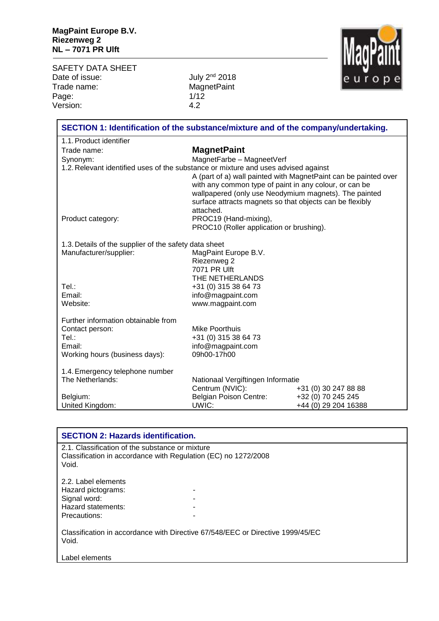SAFETY DATA SHEET<br>Date of issue: Date of issue: July 2<sup>nd</sup> 2018 Trade name: WagnetPaint Page: 1/12<br>Version: 1/12 Version:



| SECTION 1: Identification of the substance/mixture and of the company/undertaking. |                                                                                                                 |                                                                 |
|------------------------------------------------------------------------------------|-----------------------------------------------------------------------------------------------------------------|-----------------------------------------------------------------|
| 1.1. Product identifier                                                            |                                                                                                                 |                                                                 |
| Trade name:                                                                        | <b>MagnetPaint</b>                                                                                              |                                                                 |
| Synonym:                                                                           | MagnetFarbe - MagneetVerf                                                                                       |                                                                 |
| 1.2. Relevant identified uses of the substance or mixture and uses advised against |                                                                                                                 |                                                                 |
|                                                                                    |                                                                                                                 | A (part of a) wall painted with MagnetPaint can be painted over |
|                                                                                    | with any common type of paint in any colour, or can be<br>wallpapered (only use Neodymium magnets). The painted |                                                                 |
|                                                                                    | surface attracts magnets so that objects can be flexibly                                                        |                                                                 |
|                                                                                    | attached.                                                                                                       |                                                                 |
| Product category:                                                                  | PROC19 (Hand-mixing),                                                                                           |                                                                 |
|                                                                                    | PROC10 (Roller application or brushing).                                                                        |                                                                 |
| 1.3. Details of the supplier of the safety data sheet                              |                                                                                                                 |                                                                 |
| Manufacturer/supplier:                                                             | MagPaint Europe B.V.                                                                                            |                                                                 |
|                                                                                    | Riezenweg 2                                                                                                     |                                                                 |
|                                                                                    | 7071 PR Ulft                                                                                                    |                                                                 |
| Tel.:                                                                              | THE NETHERLANDS<br>+31 (0) 315 38 64 73                                                                         |                                                                 |
| Email:                                                                             | info@magpaint.com                                                                                               |                                                                 |
| Website:                                                                           | www.magpaint.com                                                                                                |                                                                 |
|                                                                                    |                                                                                                                 |                                                                 |
| Further information obtainable from                                                |                                                                                                                 |                                                                 |
| Contact person:<br>Tel.:                                                           | Mike Poorthuis                                                                                                  |                                                                 |
| Email:                                                                             | +31 (0) 315 38 64 73<br>info@magpaint.com                                                                       |                                                                 |
| Working hours (business days):                                                     | 09h00-17h00                                                                                                     |                                                                 |
|                                                                                    |                                                                                                                 |                                                                 |
| 1.4. Emergency telephone number                                                    |                                                                                                                 |                                                                 |
| The Netherlands:                                                                   | Nationaal Vergiftingen Informatie                                                                               |                                                                 |
|                                                                                    | Centrum (NVIC):                                                                                                 | +31 (0) 30 247 88 88                                            |
| Belgium:                                                                           | <b>Belgian Poison Centre:</b><br>UWIC:                                                                          | +32 (0) 70 245 245                                              |
| United Kingdom:                                                                    |                                                                                                                 | +44 (0) 29 204 16388                                            |

| <b>SECTION 2: Hazards identification.</b>                                                                                  |  |  |
|----------------------------------------------------------------------------------------------------------------------------|--|--|
| 2.1. Classification of the substance or mixture<br>Classification in accordance with Regulation (EC) no 1272/2008<br>Void. |  |  |
| 2.2. Label elements                                                                                                        |  |  |
| Hazard pictograms:                                                                                                         |  |  |
| Signal word:                                                                                                               |  |  |
| Hazard statements:                                                                                                         |  |  |
| Precautions:                                                                                                               |  |  |
| Classification in accordance with Directive 67/548/EEC or Directive 1999/45/EC<br>Void.                                    |  |  |
| Label elements                                                                                                             |  |  |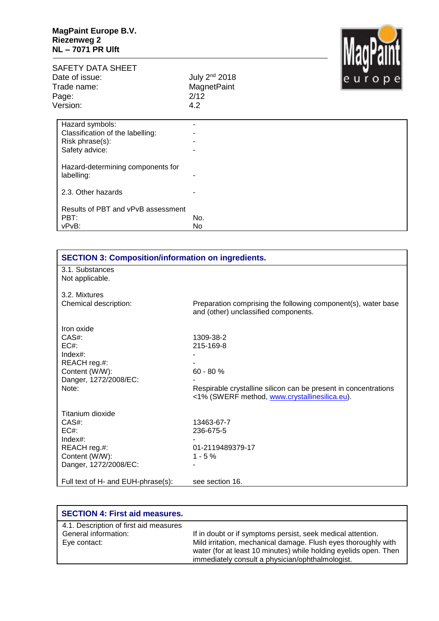

## SAFETY DATA SHEET<br>Date of issue: Date of issue: July 2<sup>nd</sup> 2018 Trade name: WagnetPaint

Page: 2/12<br>Version: 2/12

| - - - - -<br>Version:                           | 4.2 |  |
|-------------------------------------------------|-----|--|
| Hazard symbols:                                 |     |  |
| Classification of the labelling:                |     |  |
| Risk phrase(s):                                 |     |  |
| Safety advice:                                  | -   |  |
| Hazard-determining components for<br>labelling: |     |  |
| 2.3. Other hazards                              |     |  |
| Results of PBT and vPvB assessment              |     |  |
| PBT:                                            | No. |  |
| vPvB:                                           | No  |  |

| <b>SECTION 3: Composition/information on ingredients.</b> |                                                                 |  |
|-----------------------------------------------------------|-----------------------------------------------------------------|--|
| 3.1. Substances                                           |                                                                 |  |
| Not applicable.                                           |                                                                 |  |
|                                                           |                                                                 |  |
| 3.2. Mixtures                                             |                                                                 |  |
| Chemical description:                                     | Preparation comprising the following component(s), water base   |  |
|                                                           | and (other) unclassified components.                            |  |
| Iron oxide                                                |                                                                 |  |
| $CAS#$ :                                                  | 1309-38-2                                                       |  |
| EC#                                                       | 215-169-8                                                       |  |
| $Index#$ :                                                |                                                                 |  |
| REACH reg.#:                                              |                                                                 |  |
| Content (W/W):                                            | $60 - 80 %$                                                     |  |
| Danger, 1272/2008/EC:                                     |                                                                 |  |
| Note:                                                     | Respirable crystalline silicon can be present in concentrations |  |
|                                                           | <1% (SWERF method, www.crystallinesilica.eu).                   |  |
|                                                           |                                                                 |  |
| Titanium dioxide                                          |                                                                 |  |
| $CAS#$ :                                                  | 13463-67-7                                                      |  |
| $EC#$ :                                                   | 236-675-5                                                       |  |
| $Index#$ :                                                |                                                                 |  |
| REACH reg.#:                                              | 01-2119489379-17                                                |  |
| Content (W/W):                                            | $1 - 5%$                                                        |  |
| Danger, 1272/2008/EC:                                     |                                                                 |  |
|                                                           |                                                                 |  |
| Full text of H- and EUH-phrase(s):                        | see section 16.                                                 |  |

| <b>SECTION 4: First aid measures.</b>                                          |                                                                                                                                                                                                                                                       |
|--------------------------------------------------------------------------------|-------------------------------------------------------------------------------------------------------------------------------------------------------------------------------------------------------------------------------------------------------|
| 4.1. Description of first aid measures<br>General information:<br>Eye contact: | If in doubt or if symptoms persist, seek medical attention.<br>Mild irritation, mechanical damage. Flush eyes thoroughly with<br>water (for at least 10 minutes) while holding eyelids open. Then<br>immediately consult a physician/ophthalmologist. |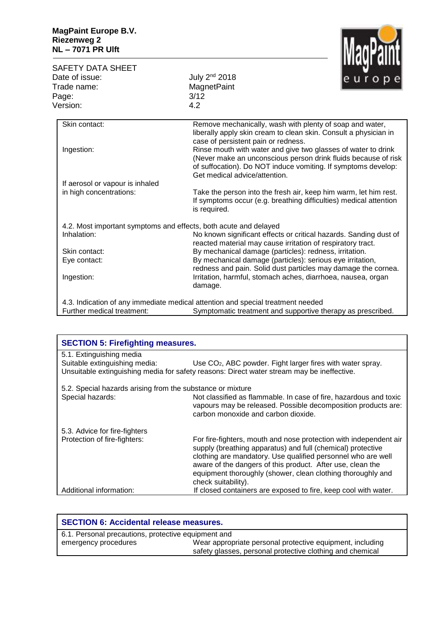SAFETY DATA SHEET<br>Date of issue: Trade name Page: Version:

| ade name:<br>age:                                                | MagnetPaint<br>3/12                                                                                                                                                                                                               |
|------------------------------------------------------------------|-----------------------------------------------------------------------------------------------------------------------------------------------------------------------------------------------------------------------------------|
| ersion:                                                          | 4.2                                                                                                                                                                                                                               |
| Skin contact:                                                    | Remove mechanically, wash with plenty of soap and water,<br>liberally apply skin cream to clean skin. Consult a physician in<br>case of persistent pain or redness.                                                               |
| Ingestion:                                                       | Rinse mouth with water and give two glasses of water to drink<br>(Never make an unconscious person drink fluids because of risk<br>of suffocation). Do NOT induce vomiting. If symptoms develop:<br>Get medical advice/attention. |
| If aerosol or vapour is inhaled                                  |                                                                                                                                                                                                                                   |
| in high concentrations:                                          | Take the person into the fresh air, keep him warm, let him rest.<br>If symptoms occur (e.g. breathing difficulties) medical attention<br>is required.                                                                             |
| 4.2. Most important symptoms and effects, both acute and delayed |                                                                                                                                                                                                                                   |
| المستنقص الصمالميا                                               | No las sua significant effects or subject bo-seds. Conding dust of                                                                                                                                                                |

July 2<sup>nd</sup> 2018

| 4.2. Most important symptoms and effects, both acute and delayed |                                                                                                                                  |
|------------------------------------------------------------------|----------------------------------------------------------------------------------------------------------------------------------|
| Inhalation:                                                      | No known significant effects or critical hazards. Sanding dust of<br>reacted material may cause irritation of respiratory tract. |
| Skin contact:                                                    | By mechanical damage (particles): redness, irritation.                                                                           |
| Eye contact:                                                     | By mechanical damage (particles): serious eye irritation,<br>redness and pain. Solid dust particles may damage the cornea.       |
| Ingestion:                                                       | Irritation, harmful, stomach aches, diarrhoea, nausea, organ<br>damage.                                                          |
|                                                                  |                                                                                                                                  |

4.3. Indication of any immediate medical attention and special treatment needed<br>Further medical treatment: Symptomatic treatment and supportive the Symptomatic treatment and supportive therapy as prescribed.

| <b>SECTION 5: Firefighting measures.</b>                   |                                                                                                                                                                                                                                                                                                                                                      |  |
|------------------------------------------------------------|------------------------------------------------------------------------------------------------------------------------------------------------------------------------------------------------------------------------------------------------------------------------------------------------------------------------------------------------------|--|
| 5.1. Extinguishing media                                   |                                                                                                                                                                                                                                                                                                                                                      |  |
| Suitable extinguishing media:                              | Use CO <sub>2</sub> , ABC powder. Fight larger fires with water spray.                                                                                                                                                                                                                                                                               |  |
|                                                            | Unsuitable extinguishing media for safety reasons: Direct water stream may be ineffective.                                                                                                                                                                                                                                                           |  |
| 5.2. Special hazards arising from the substance or mixture |                                                                                                                                                                                                                                                                                                                                                      |  |
| Special hazards:                                           | Not classified as flammable. In case of fire, hazardous and toxic<br>vapours may be released. Possible decomposition products are:<br>carbon monoxide and carbon dioxide.                                                                                                                                                                            |  |
| 5.3. Advice for fire-fighters                              |                                                                                                                                                                                                                                                                                                                                                      |  |
| Protection of fire-fighters:                               | For fire-fighters, mouth and nose protection with independent air<br>supply (breathing apparatus) and full (chemical) protective<br>clothing are mandatory. Use qualified personnel who are well<br>aware of the dangers of this product. After use, clean the<br>equipment thoroughly (shower, clean clothing thoroughly and<br>check suitability). |  |
| Additional information:                                    | If closed containers are exposed to fire, keep cool with water.                                                                                                                                                                                                                                                                                      |  |

| <b>SECTION 6: Accidental release measures.</b>      |                                                           |
|-----------------------------------------------------|-----------------------------------------------------------|
| 6.1. Personal precautions, protective equipment and |                                                           |
| emergency procedures                                | Wear appropriate personal protective equipment, including |
|                                                     | safety glasses, personal protective clothing and chemical |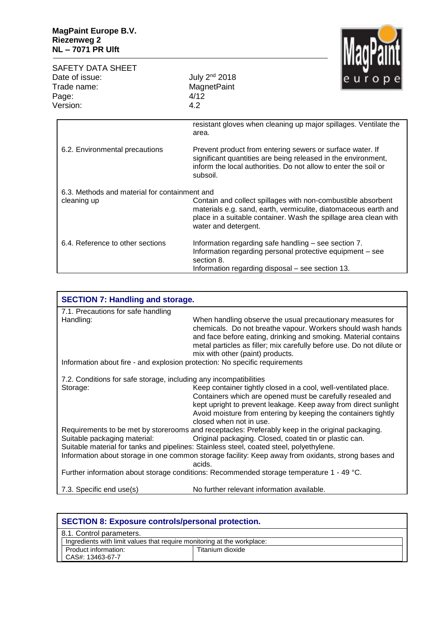SAFETY DATA SHEET<br>Date of issue: Date of issue: July 2<sup>nd</sup> 2018 Trade name: WagnetPaint Page: 4/12<br>Version: 4.2 Version:



|                                               | resistant gloves when cleaning up major spillages. Ventilate the<br>area.                                                                                                                                                   |
|-----------------------------------------------|-----------------------------------------------------------------------------------------------------------------------------------------------------------------------------------------------------------------------------|
| 6.2. Environmental precautions                | Prevent product from entering sewers or surface water. If<br>significant quantities are being released in the environment,<br>inform the local authorities. Do not allow to enter the soil or<br>subsoil.                   |
| 6.3. Methods and material for containment and |                                                                                                                                                                                                                             |
| cleaning up                                   | Contain and collect spillages with non-combustible absorbent<br>materials e.g. sand, earth, vermiculite, diatomaceous earth and<br>place in a suitable container. Wash the spillage area clean with<br>water and detergent. |
| 6.4. Reference to other sections              | Information regarding safe handling – see section 7.<br>Information regarding personal protective equipment – see<br>section 8.<br>Information regarding disposal – see section 13.                                         |

| <b>SECTION 7: Handling and storage.</b>                                       |                                                                                                                                                                                                                                                                                                           |
|-------------------------------------------------------------------------------|-----------------------------------------------------------------------------------------------------------------------------------------------------------------------------------------------------------------------------------------------------------------------------------------------------------|
| 7.1. Precautions for safe handling                                            |                                                                                                                                                                                                                                                                                                           |
| Handling:                                                                     | When handling observe the usual precautionary measures for<br>chemicals. Do not breathe vapour. Workers should wash hands<br>and face before eating, drinking and smoking. Material contains<br>metal particles as filler; mix carefully before use. Do not dilute or<br>mix with other (paint) products. |
| Information about fire - and explosion protection: No specific requirements   |                                                                                                                                                                                                                                                                                                           |
| 7.2. Conditions for safe storage, including any incompatibilities<br>Storage: | Keep container tightly closed in a cool, well-ventilated place.<br>Containers which are opened must be carefully resealed and<br>kept upright to prevent leakage. Keep away from direct sunlight<br>Avoid moisture from entering by keeping the containers tightly<br>closed when not in use.             |
|                                                                               | Requirements to be met by storerooms and receptacles: Preferably keep in the original packaging.                                                                                                                                                                                                          |
| Suitable packaging material:                                                  | Original packaging. Closed, coated tin or plastic can.<br>Suitable material for tanks and pipelines: Stainless steel, coated steel, polyethylene.<br>Information about storage in one common storage facility: Keep away from oxidants, strong bases and                                                  |
|                                                                               | acids.                                                                                                                                                                                                                                                                                                    |
|                                                                               | Further information about storage conditions: Recommended storage temperature 1 - 49 °C.                                                                                                                                                                                                                  |
| 7.3. Specific end use(s)                                                      | No further relevant information available.                                                                                                                                                                                                                                                                |

| <b>SECTION 8: Exposure controls/personal protection.</b>                |                  |
|-------------------------------------------------------------------------|------------------|
| 8.1. Control parameters.                                                |                  |
| Ingredients with limit values that require monitoring at the workplace: |                  |
| Product information:                                                    | Titanium dioxide |
| CAS#: 13463-67-7                                                        |                  |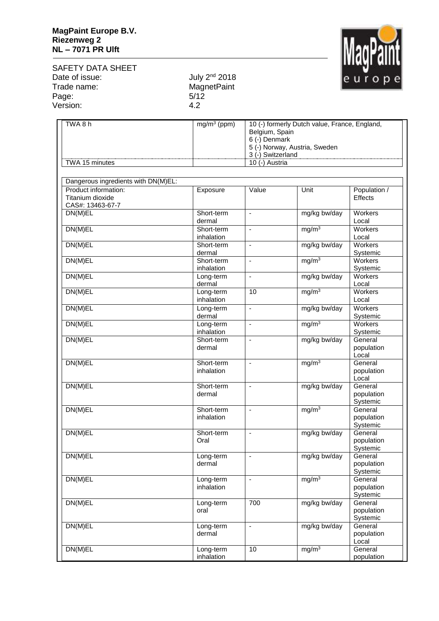

SAFETY DATA SHEET<br>Date of issue: Date of issue: July 2<sup>nd</sup> 2018 Trade name: WagnetPaint Page: 5/12<br>Version: 5/12 Version:

| TWA8h                                                        | $mg/m3$ (ppm)            | Belgium, Spain<br>6 (-) Denmark<br>3 (-) Switzerland | 10 (-) formerly Dutch value, France, England,<br>5 (-) Norway, Austria, Sweden |                                   |
|--------------------------------------------------------------|--------------------------|------------------------------------------------------|--------------------------------------------------------------------------------|-----------------------------------|
| TWA 15 minutes                                               |                          | 10 (-) Austria                                       |                                                                                |                                   |
|                                                              |                          |                                                      |                                                                                |                                   |
| Dangerous ingredients with DN(M)EL:                          |                          |                                                      |                                                                                |                                   |
| Product information:<br>Titanium dioxide<br>CAS#: 13463-67-7 | Exposure                 | Value                                                | Unit                                                                           | Population /<br>Effects           |
| DN(M)EL                                                      | Short-term<br>dermal     | $\blacksquare$                                       | mg/kg bw/day                                                                   | Workers<br>Local                  |
| DN(M)EL                                                      | Short-term<br>inhalation | $\overline{a}$                                       | mg/m <sup>3</sup>                                                              | Workers<br>Local                  |
| DN(M)EL                                                      | Short-term<br>dermal     | $\blacksquare$                                       | mg/kg bw/day                                                                   | <b>Workers</b><br>Systemic        |
| DN(M)EL                                                      | Short-term<br>inhalation | ÷,                                                   | mg/m <sup>3</sup>                                                              | Workers<br>Systemic               |
| DN(M)EL                                                      | Long-term<br>dermal      | $\blacksquare$                                       | mg/kg bw/day                                                                   | Workers<br>Local                  |
| DN(M)EL                                                      | Long-term<br>inhalation  | 10                                                   | mg/m <sup>3</sup>                                                              | Workers<br>Local                  |
| DN(M)EL                                                      | Long-term<br>dermal      | $\blacksquare$                                       | mg/kg bw/day                                                                   | Workers<br>Systemic               |
| DN(M)EL                                                      | Long-term<br>inhalation  | $\blacksquare$                                       | mg/m <sup>3</sup>                                                              | Workers<br>Systemic               |
| DN(M)EL                                                      | Short-term<br>dermal     | ÷,                                                   | mg/kg bw/day                                                                   | General<br>population<br>Local    |
| DN(M)EL                                                      | Short-term<br>inhalation | ÷,                                                   | mg/m <sup>3</sup>                                                              | General<br>population<br>Local    |
| DN(M)EL                                                      | Short-term<br>dermal     | $\blacksquare$                                       | mg/kg bw/day                                                                   | General<br>population<br>Systemic |
| DN(M)EL                                                      | Short-term<br>inhalation | ÷,                                                   | mg/m <sup>3</sup>                                                              | General<br>population<br>Systemic |
| DN(M)EL                                                      | Short-term<br>Oral       | ä,                                                   | mg/kg bw/day                                                                   | General<br>population<br>Systemic |
| DN(M)EL                                                      | Long-term<br>dermal      | ÷,                                                   | mg/kg bw/day                                                                   | General<br>population<br>Systemic |
| DN(M)EL                                                      | Long-term<br>inhalation  | $\blacksquare$                                       | mg/m <sup>3</sup>                                                              | General<br>population<br>Systemic |
| DN(M)EL                                                      | Long-term<br>oral        | 700                                                  | mg/kg bw/day                                                                   | General<br>population<br>Systemic |
| DN(M)EL                                                      | Long-term<br>dermal      | $\overline{a}$                                       | mg/kg bw/day                                                                   | General<br>population<br>Local    |
| DN(M)EL                                                      | Long-term<br>inhalation  | 10                                                   | mg/m <sup>3</sup>                                                              | General<br>population             |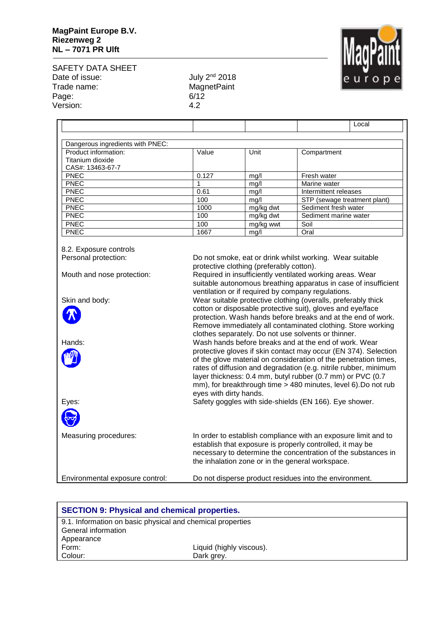

SAFETY DATA SHEET Date of issue: July 2<sup>nd</sup> 2018 Trade name: MagnetPaint Page: 6/12 Version: 4.2

| Dangerous ingredients with PNEC:                             |       |           |                              |
|--------------------------------------------------------------|-------|-----------|------------------------------|
| Product information:<br>Titanium dioxide<br>CAS#: 13463-67-7 | Value | Unit      | Compartment                  |
| <b>PNEC</b>                                                  | 0.127 | mq/l      | Fresh water                  |
| <b>PNEC</b>                                                  |       | mg/l      | Marine water                 |
| <b>PNEC</b>                                                  | 0.61  | mg/l      | Intermittent releases        |
| <b>PNEC</b>                                                  | 100   | mq/l      | STP (sewage treatment plant) |
| <b>PNEC</b>                                                  | 1000  | mg/kg dwt | Sediment fresh water         |
| <b>PNEC</b>                                                  | 100   | mg/kg dwt | Sediment marine water        |
| <b>PNEC</b>                                                  | 100   | mg/kg wwt | Soil                         |
| <b>PNEC</b>                                                  | 1667  | mg/l      | Oral                         |

8.2. Exposure controls Personal protection: Do not smoke, eat or drink whilst working. Wear suitable protective clothing (preferably cotton). Mouth and nose protection: Required in insufficiently ventilated working areas. Wear suitable autonomous breathing apparatus in case of insufficient ventilation or if required by company regulations. Skin and body: Wear suitable protective clothing (overalls, preferably thick cotton or disposable protective suit), gloves and eye/face protection. Wash hands before breaks and at the end of work. Remove immediately all contaminated clothing. Store working clothes separately. Do not use solvents or thinner. Hands: Wash hands before breaks and at the end of work. Wear protective gloves if skin contact may occur (EN 374). Selection of the glove material on consideration of the penetration times, rates of diffusion and degradation (e.g. nitrile rubber, minimum layer thickness: 0.4 mm, butyl rubber (0.7 mm) or PVC (0.7 mm), for breakthrough time > 480 minutes, level 6).Do not rub eyes with dirty hands. Eyes: Safety goggles with side-shields (EN 166). Eye shower. Measuring procedures: In order to establish compliance with an exposure limit and to establish that exposure is properly controlled, it may be necessary to determine the concentration of the substances in the inhalation zone or in the general workspace. Environmental exposure control: Do not disperse product residues into the environment.

| <b>SECTION 9: Physical and chemical properties.</b>        |                          |  |
|------------------------------------------------------------|--------------------------|--|
| 9.1. Information on basic physical and chemical properties |                          |  |
| General information                                        |                          |  |
| Appearance                                                 |                          |  |
| Form:                                                      | Liquid (highly viscous). |  |
| Colour:                                                    | Dark grey.               |  |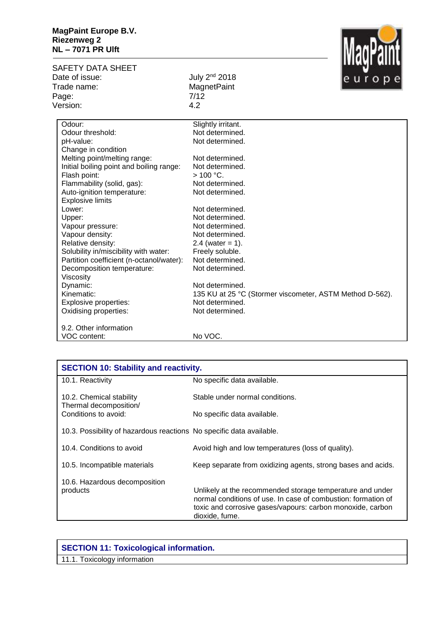

| Date of issue:<br>July 2 <sup>nd</sup> 2018<br><b>MagnetPaint</b><br>Trade name: |  |
|----------------------------------------------------------------------------------|--|
|                                                                                  |  |
|                                                                                  |  |
| 7/12<br>Page:                                                                    |  |
| Version:<br>4.2                                                                  |  |
|                                                                                  |  |
| Odour:<br>Slightly irritant.                                                     |  |
| Odour threshold:<br>Not determined.                                              |  |
| Not determined.<br>pH-value:                                                     |  |
| Change in condition                                                              |  |
| Melting point/melting range:<br>Not determined.                                  |  |
| Initial boiling point and boiling range:<br>Not determined.                      |  |
| $> 100 °C$ .<br>Flash point:                                                     |  |
| Flammability (solid, gas):<br>Not determined.                                    |  |
| Auto-ignition temperature:<br>Not determined.                                    |  |
| <b>Explosive limits</b>                                                          |  |
| Lower:<br>Not determined.                                                        |  |
| Not determined.<br>Upper:                                                        |  |
| Vapour pressure:<br>Not determined.                                              |  |
| Vapour density:<br>Not determined.                                               |  |
| Relative density:<br>2.4 (water = 1).                                            |  |
| Solubility in/miscibility with water:<br>Freely soluble.                         |  |
| Not determined.<br>Partition coefficient (n-octanol/water):                      |  |
| Decomposition temperature:<br>Not determined.                                    |  |
| Viscosity                                                                        |  |
| Dynamic:<br>Not determined.                                                      |  |
| Kinematic:<br>135 KU at 25 °C (Stormer viscometer, ASTM Method D-562).           |  |
| Not determined.<br>Explosive properties:                                         |  |
| Oxidising properties:<br>Not determined.                                         |  |
| 9.2. Other information                                                           |  |
| No VOC.<br>VOC content:                                                          |  |

| <b>SECTION 10: Stability and reactivity.</b>                         |                                                                                                                                                                                                            |
|----------------------------------------------------------------------|------------------------------------------------------------------------------------------------------------------------------------------------------------------------------------------------------------|
| 10.1. Reactivity                                                     | No specific data available.                                                                                                                                                                                |
| 10.2. Chemical stability<br>Thermal decomposition/                   | Stable under normal conditions.                                                                                                                                                                            |
| Conditions to avoid:                                                 | No specific data available.                                                                                                                                                                                |
| 10.3. Possibility of hazardous reactions No specific data available. |                                                                                                                                                                                                            |
| 10.4. Conditions to avoid                                            | Avoid high and low temperatures (loss of quality).                                                                                                                                                         |
| 10.5. Incompatible materials                                         | Keep separate from oxidizing agents, strong bases and acids.                                                                                                                                               |
| 10.6. Hazardous decomposition<br>products                            | Unlikely at the recommended storage temperature and under<br>normal conditions of use. In case of combustion: formation of<br>toxic and corrosive gases/vapours: carbon monoxide, carbon<br>dioxide, fume. |

| <b>SECTION 11: Toxicological information.</b> |
|-----------------------------------------------|
| 11.1. Toxicology information                  |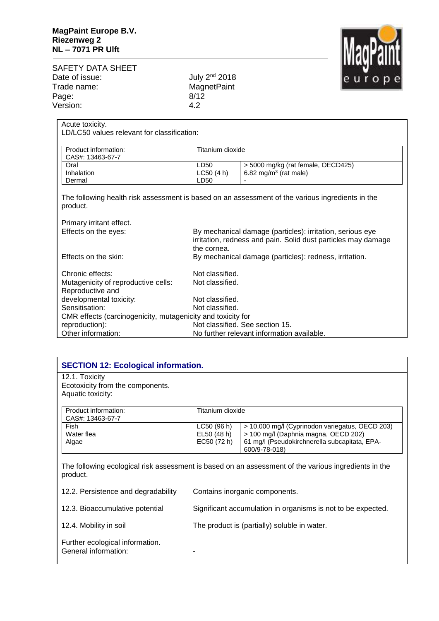

## SAFETY DATA SHEET<br>Date of issue: Date of issue: July 2<sup>nd</sup> 2018 Trade name: WagnetPaint Page: 8/12<br>Version: 8/12 Version:

| Acute toxicity.                                             |                  |                                                                                                  |  |
|-------------------------------------------------------------|------------------|--------------------------------------------------------------------------------------------------|--|
| LD/LC50 values relevant for classification:                 |                  |                                                                                                  |  |
|                                                             |                  |                                                                                                  |  |
| Product information:                                        | Titanium dioxide |                                                                                                  |  |
| CAS#: 13463-67-7<br>Oral                                    | LD50             | > 5000 mg/kg (rat female, OECD425)                                                               |  |
| Inhalation                                                  | LC50(4 h)        | 6.82 mg/m <sup>3</sup> (rat male)                                                                |  |
| Dermal                                                      | LD50             |                                                                                                  |  |
|                                                             |                  |                                                                                                  |  |
|                                                             |                  | The following health risk assessment is based on an assessment of the various ingredients in the |  |
| product.                                                    |                  |                                                                                                  |  |
|                                                             |                  |                                                                                                  |  |
| Primary irritant effect.                                    |                  |                                                                                                  |  |
| Effects on the eyes:                                        |                  | By mechanical damage (particles): irritation, serious eye                                        |  |
|                                                             |                  | irritation, redness and pain. Solid dust particles may damage                                    |  |
|                                                             | the cornea.      |                                                                                                  |  |
| Effects on the skin:                                        |                  | By mechanical damage (particles): redness, irritation.                                           |  |
|                                                             |                  |                                                                                                  |  |
| Chronic effects:                                            | Not classified.  |                                                                                                  |  |
| Mutagenicity of reproductive cells:                         | Not classified.  |                                                                                                  |  |
| Reproductive and                                            |                  |                                                                                                  |  |
| developmental toxicity:                                     | Not classified.  |                                                                                                  |  |
| Sensitisation:                                              |                  | Not classified.                                                                                  |  |
| CMR effects (carcinogenicity, mutagenicity and toxicity for |                  |                                                                                                  |  |
| reproduction):                                              |                  | Not classified. See section 15.                                                                  |  |
| Other information:                                          |                  | No further relevant information available.                                                       |  |

| 12.1. Toxicity<br>Ecotoxicity from the components. |                           |                                                                                         |
|----------------------------------------------------|---------------------------|-----------------------------------------------------------------------------------------|
| Aquatic toxicity:                                  |                           |                                                                                         |
| Product information:<br>CAS#: 13463-67-7           | Titanium dioxide          |                                                                                         |
| Fish<br>Water flea                                 | LC50(96 h)<br>EL50 (48 h) | > 10,000 mg/l (Cyprinodon variegatus, OECD 203)<br>> 100 mg/l (Daphnia magna, OECD 202) |
| Algae                                              | EC50 (72 h)               | 61 mg/l (Pseudokirchnerella subcapitata, EPA-<br>600/9-78-018)                          |

| 12.2. Persistence and degradability                     | Contains inorganic components.                               |
|---------------------------------------------------------|--------------------------------------------------------------|
| 12.3. Bioaccumulative potential                         | Significant accumulation in organisms is not to be expected. |
| 12.4. Mobility in soil                                  | The product is (partially) soluble in water.                 |
| Further ecological information.<br>General information: | -                                                            |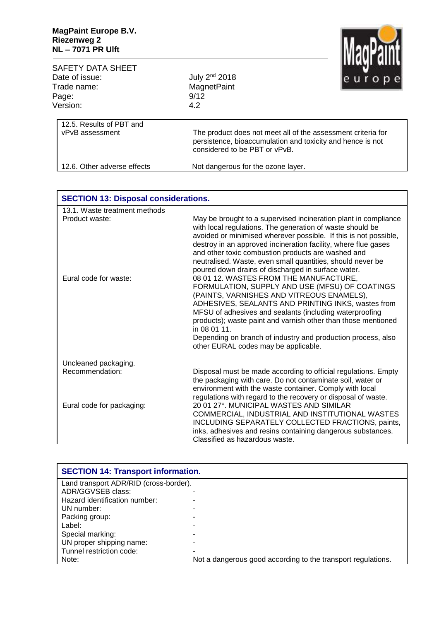

| SAFETY DATA SHEET                           |                                                                                                                                                             | .            |
|---------------------------------------------|-------------------------------------------------------------------------------------------------------------------------------------------------------------|--------------|
| Date of issue:                              | July 2 <sup>nd</sup> 2018                                                                                                                                   | le u r o p e |
| Trade name:                                 | <b>MagnetPaint</b>                                                                                                                                          |              |
| Page:                                       | 9/12                                                                                                                                                        |              |
| Version:                                    | 4.2                                                                                                                                                         |              |
| 12.5. Results of PBT and<br>vPvB assessment | The product does not meet all of the assessment criteria for<br>persistence, bioaccumulation and toxicity and hence is not<br>considered to be PBT or vPvB. |              |
| 12.6. Other adverse effects                 | Not dangerous for the ozone layer.                                                                                                                          |              |

| <b>SECTION 13: Disposal considerations.</b> |                                                                                                                                                                                                                                                                                                                                                                                                                                                 |
|---------------------------------------------|-------------------------------------------------------------------------------------------------------------------------------------------------------------------------------------------------------------------------------------------------------------------------------------------------------------------------------------------------------------------------------------------------------------------------------------------------|
| 13.1. Waste treatment methods               |                                                                                                                                                                                                                                                                                                                                                                                                                                                 |
| Product waste:                              | May be brought to a supervised incineration plant in compliance<br>with local regulations. The generation of waste should be<br>avoided or minimised wherever possible. If this is not possible,<br>destroy in an approved incineration facility, where flue gases<br>and other toxic combustion products are washed and<br>neutralised. Waste, even small quantities, should never be<br>poured down drains of discharged in surface water.    |
| Eural code for waste:                       | 08 01 12. WASTES FROM THE MANUFACTURE,<br>FORMULATION, SUPPLY AND USE (MFSU) OF COATINGS<br>(PAINTS, VARNISHES AND VITREOUS ENAMELS),<br>ADHESIVES, SEALANTS AND PRINTING INKS, wastes from<br>MFSU of adhesives and sealants (including waterproofing<br>products); waste paint and varnish other than those mentioned<br>in 08 01 11.<br>Depending on branch of industry and production process, also<br>other EURAL codes may be applicable. |
| Uncleaned packaging.                        |                                                                                                                                                                                                                                                                                                                                                                                                                                                 |
| Recommendation:                             | Disposal must be made according to official regulations. Empty<br>the packaging with care. Do not contaminate soil, water or<br>environment with the waste container. Comply with local<br>regulations with regard to the recovery or disposal of waste.                                                                                                                                                                                        |
| Eural code for packaging:                   | 20 01 27*. MUNICIPAL WASTES AND SIMILAR<br>COMMERCIAL, INDUSTRIAL AND INSTITUTIONAL WASTES<br>INCLUDING SEPARATELY COLLECTED FRACTIONS, paints,<br>inks, adhesives and resins containing dangerous substances.<br>Classified as hazardous waste.                                                                                                                                                                                                |

| <b>SECTION 14: Transport information.</b> |                                                              |
|-------------------------------------------|--------------------------------------------------------------|
| Land transport ADR/RID (cross-border).    |                                                              |
| ADR/GGVSEB class:                         |                                                              |
| Hazard identification number:             |                                                              |
| UN number:                                |                                                              |
| Packing group:                            |                                                              |
| Label:                                    |                                                              |
| Special marking:                          |                                                              |
| UN proper shipping name:                  |                                                              |
| Tunnel restriction code:                  |                                                              |
| Note:                                     | Not a dangerous good according to the transport regulations. |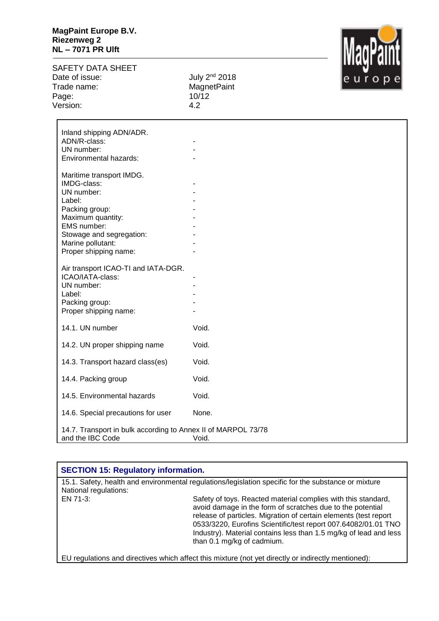## **MagPaint Europe B.V. Riezenweg 2 NL – 7071 PR Ulft**

SAFETY DATA SHEET<br>Date of issue: Trade name: MagnetPaint Page: 10/12 Version: 4.2

July 2<sup>nd</sup> 2018



| Inland shipping ADN/ADR.                                                          |       |
|-----------------------------------------------------------------------------------|-------|
| ADN/R-class:                                                                      |       |
| UN number:<br>Environmental hazards:                                              |       |
|                                                                                   |       |
| Maritime transport IMDG.                                                          |       |
| IMDG-class:                                                                       |       |
| UN number:                                                                        |       |
| Label:                                                                            |       |
| Packing group:                                                                    |       |
| Maximum quantity:                                                                 |       |
| EMS number:                                                                       |       |
| Stowage and segregation:                                                          |       |
| Marine pollutant:                                                                 |       |
| Proper shipping name:                                                             |       |
| Air transport ICAO-TI and IATA-DGR.                                               |       |
| ICAO/IATA-class:                                                                  |       |
| UN number:                                                                        |       |
| Label:                                                                            |       |
| Packing group:                                                                    |       |
| Proper shipping name:                                                             |       |
| 14.1. UN number                                                                   | Void. |
|                                                                                   |       |
| 14.2. UN proper shipping name                                                     | Void. |
| 14.3. Transport hazard class(es)                                                  | Void. |
| 14.4. Packing group                                                               | Void. |
| 14.5. Environmental hazards                                                       | Void. |
| 14.6. Special precautions for user                                                | None. |
|                                                                                   |       |
| 14.7. Transport in bulk according to Annex II of MARPOL 73/78<br>and the IBC Code | Void. |

## **1 SECTION 15: Regulatory information.**

15.1. Safety, health and environmental regulations/legislation specific for the substance or mixture National regulations: EN 71-3: Safety of toys. Reacted material complies with this standard, avoid damage in the form of scratches due to the potential release of particles. Migration of certain elements (test report 0533/3220, Eurofins Scientific/test report 007.64082/01.01 TNO Industry). Material contains less than 1.5 mg/kg of lead and less than 0.1 mg/kg of cadmium.

EU regulations and directives which affect this mixture (not yet directly or indirectly mentioned):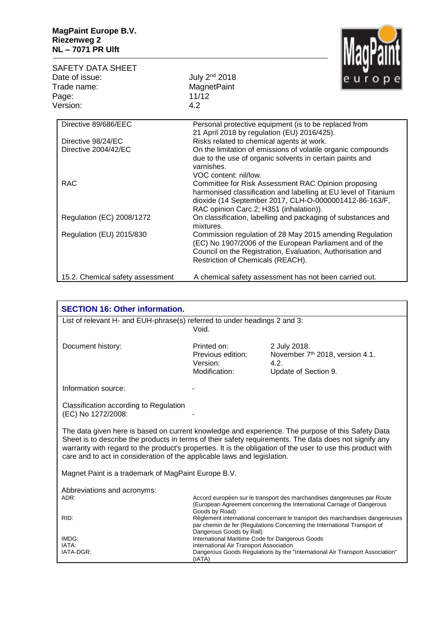

| SAFETY DATA SHEET                |                                                                                                                                                                                                                             |
|----------------------------------|-----------------------------------------------------------------------------------------------------------------------------------------------------------------------------------------------------------------------------|
| Date of issue:                   | July 2 <sup>nd</sup> 2018                                                                                                                                                                                                   |
| Trade name:                      | <b>MagnetPaint</b>                                                                                                                                                                                                          |
| Page:                            | 11/12                                                                                                                                                                                                                       |
| Version:                         | 4.2                                                                                                                                                                                                                         |
| Directive 89/686/EEC             | Personal protective equipment (is to be replaced from<br>21 April 2018 by regulation (EU) 2016/425).                                                                                                                        |
| Directive 98/24/EC               | Risks related to chemical agents at work.                                                                                                                                                                                   |
| Directive 2004/42/EC             | On the limitation of emissions of volatile organic compounds<br>due to the use of organic solvents in certain paints and<br>varnishes.<br>VOC content: nil/low.                                                             |
| <b>RAC</b>                       | Committee for Risk Assessment RAC Opinion proposing<br>harmonised classification and labelling at EU level of Titanium<br>dioxide (14 September 2017, CLH-O-0000001412-86-163/F,<br>RAC opinion Carc.2; H351 (inhalation)). |
| Regulation (EC) 2008/1272        | On classification, labelling and packaging of substances and<br>mixtures.                                                                                                                                                   |
| Regulation (EU) 2015/830         | Commission regulation of 28 May 2015 amending Regulation<br>(EC) No 1907/2006 of the European Parliament and of the<br>Council on the Registration, Evaluation, Authorisation and<br>Restriction of Chemicals (REACH).      |
| 15.2. Chemical safety assessment | A chemical safety assessment has not been carried out.                                                                                                                                                                      |

| <b>SECTION 16: Other information.</b>                                                                                                                                                                                                                                                                                                                                                                  |                                                               |                                                                                                                                                          |  |  |
|--------------------------------------------------------------------------------------------------------------------------------------------------------------------------------------------------------------------------------------------------------------------------------------------------------------------------------------------------------------------------------------------------------|---------------------------------------------------------------|----------------------------------------------------------------------------------------------------------------------------------------------------------|--|--|
| List of relevant H- and EUH-phrase(s) referred to under headings 2 and 3:                                                                                                                                                                                                                                                                                                                              | Void.                                                         |                                                                                                                                                          |  |  |
| Document history:                                                                                                                                                                                                                                                                                                                                                                                      | Printed on:<br>Previous edition:<br>Version:<br>Modification: | 2 July 2018.<br>November 7 <sup>th</sup> 2018, version 4.1.<br>4.2.<br>Update of Section 9.                                                              |  |  |
| Information source:                                                                                                                                                                                                                                                                                                                                                                                    |                                                               |                                                                                                                                                          |  |  |
| Classification according to Regulation<br>(EC) No 1272/2008:                                                                                                                                                                                                                                                                                                                                           |                                                               |                                                                                                                                                          |  |  |
| The data given here is based on current knowledge and experience. The purpose of this Safety Data<br>Sheet is to describe the products in terms of their safety requirements. The data does not signify any<br>warranty with regard to the product's properties. It is the obligation of the user to use this product with<br>care and to act in consideration of the applicable laws and legislation. |                                                               |                                                                                                                                                          |  |  |
| Magnet Paint is a trademark of MagPaint Europe B.V.                                                                                                                                                                                                                                                                                                                                                    |                                                               |                                                                                                                                                          |  |  |
| Abbreviations and acronyms:<br>ADR:                                                                                                                                                                                                                                                                                                                                                                    |                                                               | Accord européen sur le transport des marchandises dangereuses par Route<br>(European Agreement concerning the International Carriage of Dangerous        |  |  |
| RID:                                                                                                                                                                                                                                                                                                                                                                                                   | Goods by Road)<br>Dangerous Goods by Rail)                    | Règlement international concernant le transport des marchandises dangereuses<br>par chemin de fer (Regulations Concerning the International Transport of |  |  |
| IMDG:                                                                                                                                                                                                                                                                                                                                                                                                  | International Maritime Code for Dangerous Goods               |                                                                                                                                                          |  |  |
| IATA:                                                                                                                                                                                                                                                                                                                                                                                                  | International Air Transport Association                       |                                                                                                                                                          |  |  |
| IATA-DGR:                                                                                                                                                                                                                                                                                                                                                                                              | (IATA)                                                        | Dangerous Goods Regulations by the "International Air Transport Association"                                                                             |  |  |